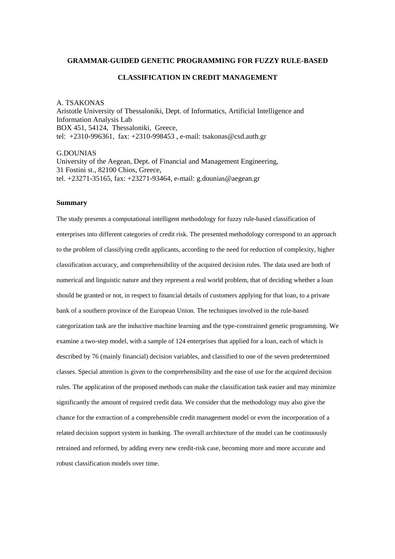#### **GRAMMAR-GUIDED GENETIC PROGRAMMING FOR FUZZY RULE-BASED**

### **CLASSIFICATION IN CREDIT MANAGEMENT**

A. TSAKONAS Aristotle University of Thessaloniki, Dept. of Informatics, Artificial Intelligence and Information Analysis Lab BOX 451, 54124, Thessaloniki, Greece, tel: +2310-996361, fax: +2310-998453 , e-mail: tsakonas@csd.auth.gr

G.DOUNIAS University of the Aegean, Dept. of Financial and Management Engineering, 31 Fostini st., 82100 Chios, Greece, tel. +23271-35165, fax: +23271-93464, e-mail: g.dounias@aegean.gr

### **Summary**

The study presents a computational intelligent methodology for fuzzy rule-based classification of enterprises into different categories of credit risk. The presented methodology correspond to an approach to the problem of classifying credit applicants, according to the need for reduction of complexity, higher classification accuracy, and comprehensibility of the acquired decision rules. The data used are both of numerical and linguistic nature and they represent a real world problem, that of deciding whether a loan should be granted or not, in respect to financial details of customers applying for that loan, to a private bank of a southern province of the European Union. The techniques involved in the rule-based categorization task are the inductive machine learning and the type-constrained genetic programming. We examine a two-step model, with a sample of 124 enterprises that applied for a loan, each of which is described by 76 (mainly financial) decision variables, and classified to one of the seven predetermined classes. Special attention is given to the comprehensibility and the ease of use for the acquired decision rules. The application of the proposed methods can make the classification task easier and may minimize significantly the amount of required credit data. We consider that the methodology may also give the chance for the extraction of a comprehensible credit management model or even the incorporation of a related decision support system in banking. The overall architecture of the model can be continuously retrained and reformed, by adding every new credit-risk case, becoming more and more accurate and robust classification models over time.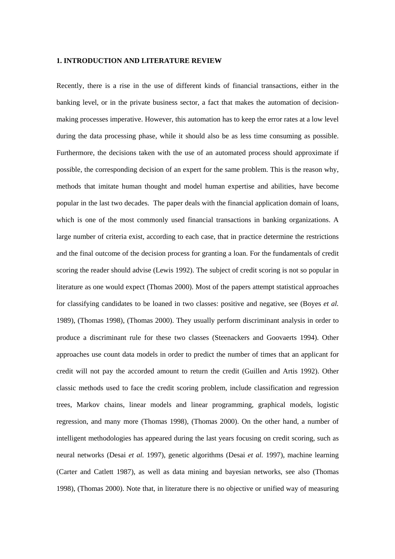### **1. INTRODUCTION AND LITERATURE REVIEW**

Recently, there is a rise in the use of different kinds of financial transactions, either in the banking level, or in the private business sector, a fact that makes the automation of decisionmaking processes imperative. However, this automation has to keep the error rates at a low level during the data processing phase, while it should also be as less time consuming as possible. Furthermore, the decisions taken with the use of an automated process should approximate if possible, the corresponding decision of an expert for the same problem. This is the reason why, methods that imitate human thought and model human expertise and abilities, have become popular in the last two decades. The paper deals with the financial application domain of loans, which is one of the most commonly used financial transactions in banking organizations. A large number of criteria exist, according to each case, that in practice determine the restrictions and the final outcome of the decision process for granting a loan. For the fundamentals of credit scoring the reader should advise (Lewis 1992). The subject of credit scoring is not so popular in literature as one would expect (Thomas 2000). Most of the papers attempt statistical approaches for classifying candidates to be loaned in two classes: positive and negative, see (Boyes *et al.* 1989), (Thomas 1998), (Thomas 2000). They usually perform discriminant analysis in order to produce a discriminant rule for these two classes (Steenackers and Goovaerts 1994). Other approaches use count data models in order to predict the number of times that an applicant for credit will not pay the accorded amount to return the credit (Guillen and Artis 1992). Other classic methods used to face the credit scoring problem, include classification and regression trees, Markov chains, linear models and linear programming, graphical models, logistic regression, and many more (Thomas 1998), (Thomas 2000). On the other hand, a number of intelligent methodologies has appeared during the last years focusing on credit scoring, such as neural networks (Desai *et al.* 1997), genetic algorithms (Desai *et al.* 1997), machine learning (Carter and Catlett 1987), as well as data mining and bayesian networks, see also (Thomas 1998), (Thomas 2000). Note that, in literature there is no objective or unified way of measuring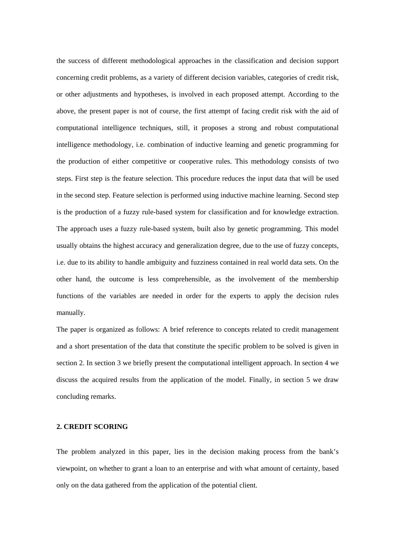the success of different methodological approaches in the classification and decision support concerning credit problems, as a variety of different decision variables, categories of credit risk, or other adjustments and hypotheses, is involved in each proposed attempt. According to the above, the present paper is not of course, the first attempt of facing credit risk with the aid of computational intelligence techniques, still, it proposes a strong and robust computational intelligence methodology, i.e. combination of inductive learning and genetic programming for the production of either competitive or cooperative rules. This methodology consists of two steps. First step is the feature selection. This procedure reduces the input data that will be used in the second step. Feature selection is performed using inductive machine learning. Second step is the production of a fuzzy rule-based system for classification and for knowledge extraction. The approach uses a fuzzy rule-based system, built also by genetic programming. This model usually obtains the highest accuracy and generalization degree, due to the use of fuzzy concepts, i.e. due to its ability to handle ambiguity and fuzziness contained in real world data sets. On the other hand, the outcome is less comprehensible, as the involvement of the membership functions of the variables are needed in order for the experts to apply the decision rules manually.

The paper is organized as follows: A brief reference to concepts related to credit management and a short presentation of the data that constitute the specific problem to be solved is given in section 2. In section 3 we briefly present the computational intelligent approach. In section 4 we discuss the acquired results from the application of the model. Finally, in section 5 we draw concluding remarks.

## **2. CREDIT SCORING**

The problem analyzed in this paper, lies in the decision making process from the bank's viewpoint, on whether to grant a loan to an enterprise and with what amount of certainty, based only on the data gathered from the application of the potential client.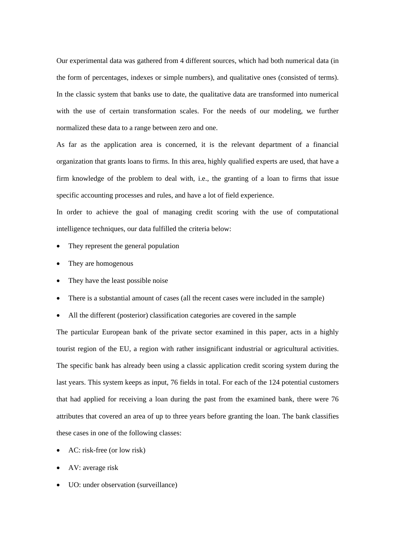Our experimental data was gathered from 4 different sources, which had both numerical data (in the form of percentages, indexes or simple numbers), and qualitative ones (consisted of terms). In the classic system that banks use to date, the qualitative data are transformed into numerical with the use of certain transformation scales. For the needs of our modeling, we further normalized these data to a range between zero and one.

As far as the application area is concerned, it is the relevant department of a financial organization that grants loans to firms. In this area, highly qualified experts are used, that have a firm knowledge of the problem to deal with, i.e., the granting of a loan to firms that issue specific accounting processes and rules, and have a lot of field experience.

In order to achieve the goal of managing credit scoring with the use of computational intelligence techniques, our data fulfilled the criteria below:

- They represent the general population
- They are homogenous
- They have the least possible noise
- There is a substantial amount of cases (all the recent cases were included in the sample)
- All the different (posterior) classification categories are covered in the sample

The particular European bank of the private sector examined in this paper, acts in a highly tourist region of the EU, a region with rather insignificant industrial or agricultural activities. The specific bank has already been using a classic application credit scoring system during the last years. This system keeps as input, 76 fields in total. For each of the 124 potential customers that had applied for receiving a loan during the past from the examined bank, there were 76 attributes that covered an area of up to three years before granting the loan. The bank classifies these cases in one of the following classes:

- AC: risk-free (or low risk)
- AV: average risk
- UO: under observation (surveillance)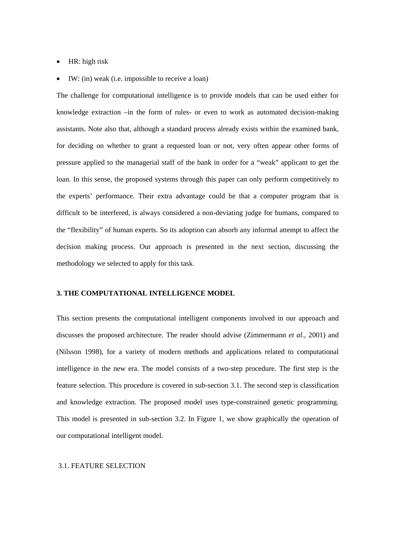- HR: high risk
- IW: (in) weak (i.e. impossible to receive a loan)

The challenge for computational intelligence is to provide models that can be used either for knowledge extraction –in the form of rules- or even to work as automated decision-making assistants. Note also that, although a standard process already exists within the examined bank, for deciding on whether to grant a requested loan or not, very often appear other forms of pressure applied to the managerial staff of the bank in order for a "weak" applicant to get the loan. In this sense, the proposed systems through this paper can only perform competitively to the experts' performance. Their extra advantage could be that a computer program that is difficult to be interfered, is always considered a non-deviating judge for humans, compared to the "flexibility" of human experts. So its adoption can absorb any informal attempt to affect the decision making process. Our approach is presented in the next section, discussing the methodology we selected to apply for this task.

#### **3. THE COMPUTATIONAL INTELLIGENCE MODEL**

This section presents the computational intelligent components involved in our approach and discusses the proposed architecture. The reader should advise (Zimmermann *et al*., 2001) and (Nilsson 1998), for a variety of modern methods and applications related to computational intelligence in the new era. The model consists of a two-step procedure. The first step is the feature selection. This procedure is covered in sub-section 3.1. The second step is classification and knowledge extraction. The proposed model uses type-constrained genetic programming. This model is presented in sub-section 3.2. In Figure 1, we show graphically the operation of our computational intelligent model.

### 3.1. FEATURE SELECTION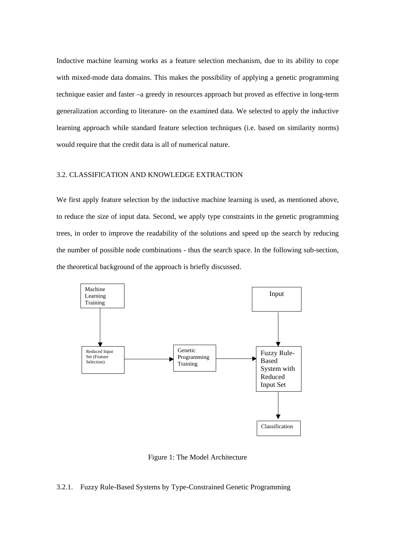Inductive machine learning works as a feature selection mechanism, due to its ability to cope with mixed-mode data domains. This makes the possibility of applying a genetic programming technique easier and faster –a greedy in resources approach but proved as effective in long-term generalization according to literature- on the examined data. We selected to apply the inductive learning approach while standard feature selection techniques (i.e. based on similarity norms) would require that the credit data is all of numerical nature.

### 3.2. CLASSIFICATION AND KNOWLEDGE EXTRACTION

We first apply feature selection by the inductive machine learning is used, as mentioned above, to reduce the size of input data. Second, we apply type constraints in the genetic programming trees, in order to improve the readability of the solutions and speed up the search by reducing the number of possible node combinations - thus the search space. In the following sub-section, the theoretical background of the approach is briefly discussed.



Figure 1: The Model Architecture

### 3.2.1. Fuzzy Rule-Based Systems by Type-Constrained Genetic Programming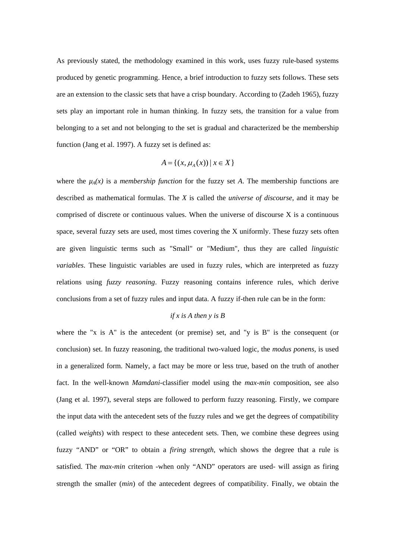As previously stated, the methodology examined in this work, uses fuzzy rule-based systems produced by genetic programming. Hence, a brief introduction to fuzzy sets follows. These sets are an extension to the classic sets that have a crisp boundary. According to (Zadeh 1965), fuzzy sets play an important role in human thinking. In fuzzy sets, the transition for a value from belonging to a set and not belonging to the set is gradual and characterized be the membership function (Jang et al. 1997). A fuzzy set is defined as:

$$
A = \{(x, \mu_A(x)) \mid x \in X\}
$$

where the  $\mu_A(x)$  is a *membership function* for the fuzzy set *A*. The membership functions are described as mathematical formulas. The *X* is called the *universe of discourse*, and it may be comprised of discrete or continuous values. When the universe of discourse X is a continuous space, several fuzzy sets are used, most times covering the X uniformly. These fuzzy sets often are given linguistic terms such as "Small" or "Medium", thus they are called *linguistic variables*. These linguistic variables are used in fuzzy rules, which are interpreted as fuzzy relations using *fuzzy reasoning*. Fuzzy reasoning contains inference rules, which derive conclusions from a set of fuzzy rules and input data. A fuzzy if-then rule can be in the form:

# *if x is A then y is B*

where the "x is A" is the antecedent (or premise) set, and "y is B" is the consequent (or conclusion) set. In fuzzy reasoning, the traditional two-valued logic, the *modus ponens,* is used in a generalized form. Namely, a fact may be more or less true, based on the truth of another fact. In the well-known *Mamdani*-classifier model using the *max-min* composition, see also (Jang et al. 1997), several steps are followed to perform fuzzy reasoning. Firstly, we compare the input data with the antecedent sets of the fuzzy rules and we get the degrees of compatibility (called *weights*) with respect to these antecedent sets. Then, we combine these degrees using fuzzy "AND" or "OR" to obtain a *firing strength*, which shows the degree that a rule is satisfied. The *max-min* criterion -when only "AND" operators are used- will assign as firing strength the smaller (*min*) of the antecedent degrees of compatibility. Finally, we obtain the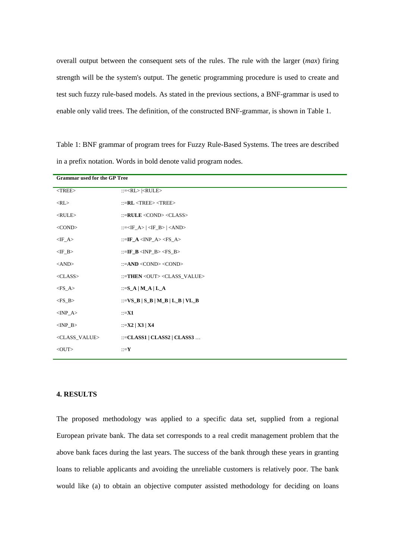overall output between the consequent sets of the rules. The rule with the larger (*max*) firing strength will be the system's output. The genetic programming procedure is used to create and test such fuzzy rule-based models. As stated in the previous sections, a BNF-grammar is used to enable only valid trees. The definition, of the constructed BNF-grammar, is shown in Table 1.

Table 1: BNF grammar of program trees for Fuzzy Rule-Based Systems. The trees are described in a prefix notation. Words in bold denote valid program nodes.

| <b>Grammar used for the GP Tree</b> |                                                          |  |  |  |  |  |  |
|-------------------------------------|----------------------------------------------------------|--|--|--|--|--|--|
| $<$ TREE $>$                        | $::= $                                                   |  |  |  |  |  |  |
| $<$ RL $>$                          | $::=RL < TREE > < TREE >$                                |  |  |  |  |  |  |
| $<$ RULE $>$                        | ::= $\textbf{RULE} \leq \text{COND} \leq \text{CLASS}$ > |  |  |  |  |  |  |
| $<$ COND $>$                        | ::= $<$ IF_A>   $<$ IF_B>   $<$ AND>                     |  |  |  |  |  |  |
| $\langle$ IF_A>                     | ::=IF_A <inp_a> <fs_a></fs_a></inp_a>                    |  |  |  |  |  |  |
| $\langle$ IF_B>                     | ::=IF_B <inp_b> <fs_b></fs_b></inp_b>                    |  |  |  |  |  |  |
| $\langle AND \rangle$               | ::= $AND$ < $COND$ < $COND$                              |  |  |  |  |  |  |
| $<$ CLASS $>$                       | ::=THEN <out><class_value></class_value></out>           |  |  |  |  |  |  |
| $<$ FS_A>                           | ::= $S_A   M_A   L_A$                                    |  |  |  |  |  |  |
| $<$ FS_B>                           | ::= $VS$ <sub>-</sub> B   S_B   M_B   L_B   VL_B         |  |  |  |  |  |  |
| $<$ INP_A $>$                       | $::=$ X1                                                 |  |  |  |  |  |  |
| $\langle$ INP B $>$                 | $\therefore$ =X2   X3   X4                               |  |  |  |  |  |  |
| <class_value></class_value>         | ::= $CLASS1   CLASS2   CLASS3 $                          |  |  |  |  |  |  |
| $<$ OUT $>$                         | $::=Y$                                                   |  |  |  |  |  |  |

# **4. RESULTS**

The proposed methodology was applied to a specific data set, supplied from a regional European private bank. The data set corresponds to a real credit management problem that the above bank faces during the last years. The success of the bank through these years in granting loans to reliable applicants and avoiding the unreliable customers is relatively poor. The bank would like (a) to obtain an objective computer assisted methodology for deciding on loans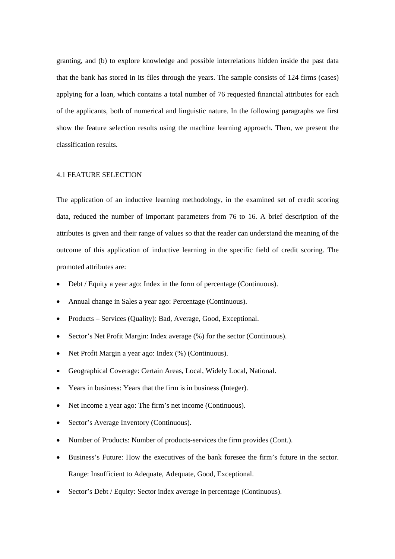granting, and (b) to explore knowledge and possible interrelations hidden inside the past data that the bank has stored in its files through the years. The sample consists of 124 firms (cases) applying for a loan, which contains a total number of 76 requested financial attributes for each of the applicants, both of numerical and linguistic nature. In the following paragraphs we first show the feature selection results using the machine learning approach. Then, we present the classification results.

### 4.1 FEATURE SELECTION

The application of an inductive learning methodology, in the examined set of credit scoring data, reduced the number of important parameters from 76 to 16. A brief description of the attributes is given and their range of values so that the reader can understand the meaning of the outcome of this application of inductive learning in the specific field of credit scoring. The promoted attributes are:

- Debt / Equity a year ago: Index in the form of percentage (Continuous).
- Annual change in Sales a year ago: Percentage (Continuous).
- Products Services (Quality): Bad, Average, Good, Exceptional.
- Sector's Net Profit Margin: Index average  $(\%)$  for the sector (Continuous).
- Net Profit Margin a year ago: Index (%) (Continuous).
- Geographical Coverage: Certain Areas, Local, Widely Local, National.
- Years in business: Years that the firm is in business (Integer).
- Net Income a year ago: The firm's net income (Continuous).
- Sector's Average Inventory (Continuous).
- Number of Products: Number of products-services the firm provides (Cont.).
- Business's Future: How the executives of the bank foresee the firm's future in the sector. Range: Insufficient to Adequate, Adequate, Good, Exceptional.
- Sector's Debt / Equity: Sector index average in percentage (Continuous).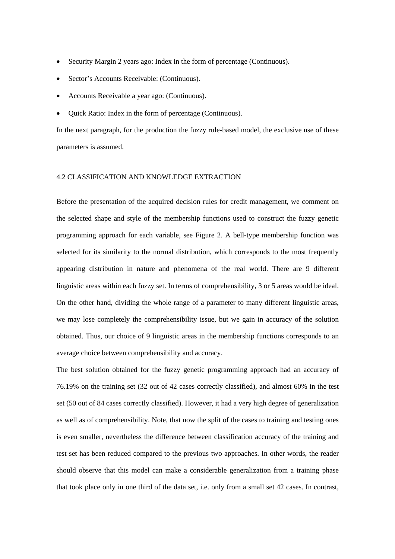- Security Margin 2 years ago: Index in the form of percentage (Continuous).
- Sector's Accounts Receivable: (Continuous).
- Accounts Receivable a year ago: (Continuous).
- Quick Ratio: Index in the form of percentage (Continuous).

In the next paragraph, for the production the fuzzy rule-based model, the exclusive use of these parameters is assumed.

### 4.2 CLASSIFICATION AND KNOWLEDGE EXTRACTION

Before the presentation of the acquired decision rules for credit management, we comment on the selected shape and style of the membership functions used to construct the fuzzy genetic programming approach for each variable, see Figure 2. A bell-type membership function was selected for its similarity to the normal distribution, which corresponds to the most frequently appearing distribution in nature and phenomena of the real world. There are 9 different linguistic areas within each fuzzy set. In terms of comprehensibility, 3 or 5 areas would be ideal. On the other hand, dividing the whole range of a parameter to many different linguistic areas, we may lose completely the comprehensibility issue, but we gain in accuracy of the solution obtained. Thus, our choice of 9 linguistic areas in the membership functions corresponds to an average choice between comprehensibility and accuracy.

The best solution obtained for the fuzzy genetic programming approach had an accuracy of 76.19% on the training set (32 out of 42 cases correctly classified), and almost 60% in the test set (50 out of 84 cases correctly classified). However, it had a very high degree of generalization as well as of comprehensibility. Note, that now the split of the cases to training and testing ones is even smaller, nevertheless the difference between classification accuracy of the training and test set has been reduced compared to the previous two approaches. In other words, the reader should observe that this model can make a considerable generalization from a training phase that took place only in one third of the data set, i.e. only from a small set 42 cases. In contrast,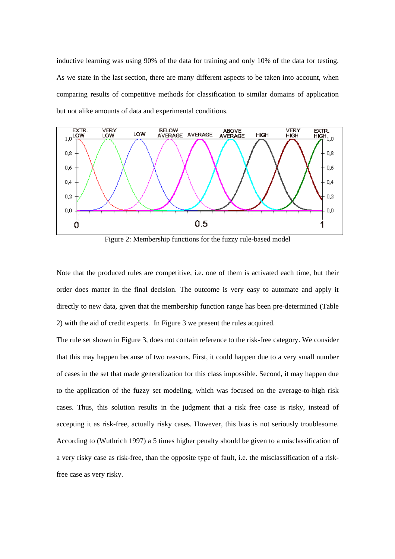inductive learning was using 90% of the data for training and only 10% of the data for testing. As we state in the last section, there are many different aspects to be taken into account, when comparing results of competitive methods for classification to similar domains of application but not alike amounts of data and experimental conditions.



Figure 2: Membership functions for the fuzzy rule-based model

Note that the produced rules are competitive, i.e. one of them is activated each time, but their order does matter in the final decision. The outcome is very easy to automate and apply it directly to new data, given that the membership function range has been pre-determined (Table 2) with the aid of credit experts. In Figure 3 we present the rules acquired.

The rule set shown in Figure 3, does not contain reference to the risk-free category. We consider that this may happen because of two reasons. First, it could happen due to a very small number of cases in the set that made generalization for this class impossible. Second, it may happen due to the application of the fuzzy set modeling, which was focused on the average-to-high risk cases. Thus, this solution results in the judgment that a risk free case is risky, instead of accepting it as risk-free, actually risky cases. However, this bias is not seriously troublesome. According to (Wuthrich 1997) a 5 times higher penalty should be given to a misclassification of a very risky case as risk-free, than the opposite type of fault, i.e. the misclassification of a riskfree case as very risky.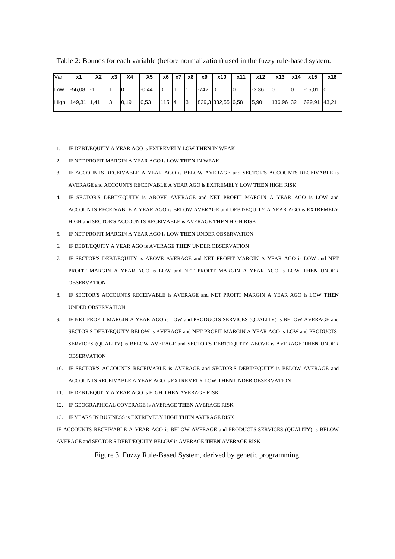| Var  | х1            | X2 | x3 | Χ4   | X5      | х6  | x7 | х8 | х9     | x10               | x11 | x12     | x13       | x14 | x15          | x16 |
|------|---------------|----|----|------|---------|-----|----|----|--------|-------------------|-----|---------|-----------|-----|--------------|-----|
| Low  | $-56,08$ $-1$ |    |    | 10   | $-0.44$ | 10  |    |    | $-742$ | - 10              | ାଠ  | $-3,36$ |           |     | $-15,01$     | 10  |
| High | 149,31 1,41   |    |    | 0,19 | 0,53    | 115 | 14 | 13 |        | 829,3 332,55 6,58 |     | 5,90    | 136,96 32 |     | 629,91 43,21 |     |

Table 2: Bounds for each variable (before normalization) used in the fuzzy rule-based system.

- 1. IF DEBT/EQUITY A YEAR AGO is EXTREMELY LOW **THEN** IN WEAK
- 2. IF NET PROFIT MARGIN A YEAR AGO is LOW **THEN** IN WEAK
- 3. IF ACCOUNTS RECEIVABLE A YEAR AGO is BELOW AVERAGE and SECTOR'S ACCOUNTS RECEIVABLE is AVERAGE and ACCOUNTS RECEIVABLE A YEAR AGO is EXTREMELY LOW **THEN** HIGH RISK
- 4. IF SECTOR'S DEBT/EQUITY is ABOVE AVERAGE and NET PROFIT MARGIN A YEAR AGO is LOW and ACCOUNTS RECEIVABLE A YEAR AGO is BELOW AVERAGE and DEBT/EQUITY A YEAR AGO is EXTREMELY HIGH and SECTOR'S ACCOUNTS RECEIVABLE is AVERAGE **THEN** HIGH RISK
- 5. IF NET PROFIT MARGIN A YEAR AGO is LOW **THEN** UNDER OBSERVATION
- 6. IF DEBT/EQUITY A YEAR AGO is AVERAGE **THEN** UNDER OBSERVATION
- 7. IF SECTOR'S DEBT/EQUITY is ABOVE AVERAGE and NET PROFIT MARGIN A YEAR AGO is LOW and NET PROFIT MARGIN A YEAR AGO is LOW and NET PROFIT MARGIN A YEAR AGO is LOW **THEN** UNDER OBSERVATION
- 8. IF SECTOR'S ACCOUNTS RECEIVABLE is AVERAGE and NET PROFIT MARGIN A YEAR AGO is LOW **THEN** UNDER OBSERVATION
- 9. IF NET PROFIT MARGIN A YEAR AGO is LOW and PRODUCTS-SERVICES (QUALITY) is BELOW AVERAGE and SECTOR'S DEBT/EQUITY BELOW is AVERAGE and NET PROFIT MARGIN A YEAR AGO is LOW and PRODUCTS-SERVICES (QUALITY) is BELOW AVERAGE and SECTOR'S DEBT/EQUITY ABOVE is AVERAGE **THEN** UNDER OBSERVATION
- 10. IF SECTOR'S ACCOUNTS RECEIVABLE is AVERAGE and SECTOR'S DEBT/EQUITY is BELOW AVERAGE and ACCOUNTS RECEIVABLE A YEAR AGO is EXTREMELY LOW **THEN** UNDER OBSERVATION
- 11. IF DEBT/EQUITY A YEAR AGO is HIGH **THEN** AVERAGE RISK
- 12. IF GEOGRAPHICAL COVERAGE is AVERAGE **THEN** AVERAGE RISK
- 13. IF YEARS IN BUSINESS is EXTREMELY HIGH **THEN** AVERAGE RISK

IF ACCOUNTS RECEIVABLE A YEAR AGO is BELOW AVERAGE and PRODUCTS-SERVICES (QUALITY) is BELOW AVERAGE and SECTOR'S DEBT/EQUITY BELOW is AVERAGE **THEN** AVERAGE RISK

Figure 3. Fuzzy Rule-Based System, derived by genetic programming.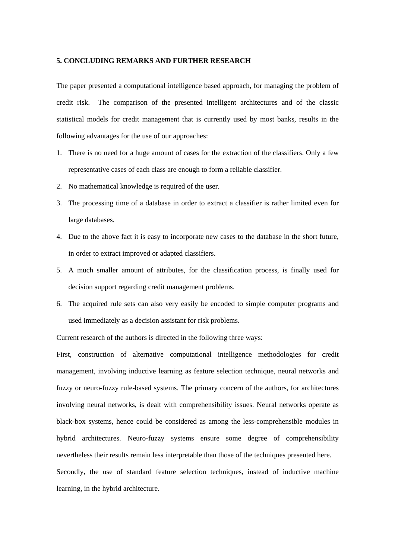### **5. CONCLUDING REMARKS AND FURTHER RESEARCH**

The paper presented a computational intelligence based approach, for managing the problem of credit risk. The comparison of the presented intelligent architectures and of the classic statistical models for credit management that is currently used by most banks, results in the following advantages for the use of our approaches:

- 1. There is no need for a huge amount of cases for the extraction of the classifiers. Only a few representative cases of each class are enough to form a reliable classifier.
- 2. No mathematical knowledge is required of the user.
- 3. The processing time of a database in order to extract a classifier is rather limited even for large databases.
- 4. Due to the above fact it is easy to incorporate new cases to the database in the short future, in order to extract improved or adapted classifiers.
- 5. A much smaller amount of attributes, for the classification process, is finally used for decision support regarding credit management problems.
- 6. The acquired rule sets can also very easily be encoded to simple computer programs and used immediately as a decision assistant for risk problems.

Current research of the authors is directed in the following three ways:

First, construction of alternative computational intelligence methodologies for credit management, involving inductive learning as feature selection technique, neural networks and fuzzy or neuro-fuzzy rule-based systems. The primary concern of the authors, for architectures involving neural networks, is dealt with comprehensibility issues. Neural networks operate as black-box systems, hence could be considered as among the less-comprehensible modules in hybrid architectures. Neuro-fuzzy systems ensure some degree of comprehensibility nevertheless their results remain less interpretable than those of the techniques presented here. Secondly, the use of standard feature selection techniques, instead of inductive machine

learning, in the hybrid architecture.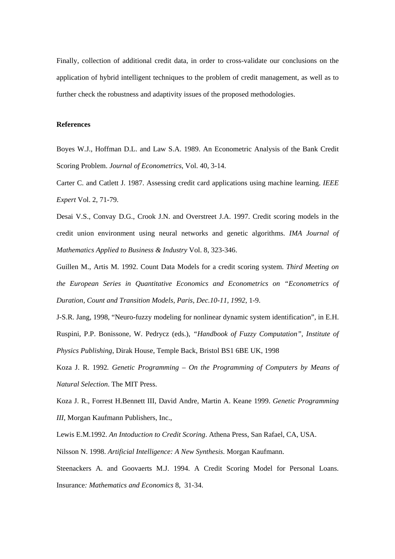Finally, collection of additional credit data, in order to cross-validate our conclusions on the application of hybrid intelligent techniques to the problem of credit management, as well as to further check the robustness and adaptivity issues of the proposed methodologies.

## **References**

Boyes W.J., Hoffman D.L. and Law S.A. 1989. An Econometric Analysis of the Bank Credit Scoring Problem. *Journal of Econometrics*, Vol. 40, 3-14.

Carter C. and Catlett J. 1987. Assessing credit card applications using machine learning. *IEEE Expert* Vol. 2, 71-79.

Desai V.S., Convay D.G., Crook J.N. and Overstreet J.A. 1997. Credit scoring models in the credit union environment using neural networks and genetic algorithms. *IMA Journal of Mathematics Applied to Business & Industry* Vol. 8, 323-346.

Guillen M., Artis M. 1992. Count Data Models for a credit scoring system. *Third Meeting on the European Series in Quantitative Economics and Econometrics on "Econometrics of Duration, Count and Transition Models, Paris, Dec.10-11, 1992*, 1-9.

J-S.R. Jang, 1998, "Neuro-fuzzy modeling for nonlinear dynamic system identification", in E.H. Ruspini, P.P. Bonissone, W. Pedrycz (eds.), *"Handbook of Fuzzy Computation", Institute of Physics Publishing*, Dirak House, Temple Back, Bristol BS1 6BE UK, 1998

Koza J. R. 1992*. Genetic Programming – On the Programming of Computers by Means of Natural Selection*. The MIT Press.

Koza J. R., Forrest H.Bennett III, David Andre, Martin A. Keane 1999. *Genetic Programming III*, Morgan Kaufmann Publishers, Inc.,

Lewis E.M.1992. *An Intoduction to Credit Scoring*. Athena Press, San Rafael, CA, USA.

Nilsson N. 1998. *Artificial Intelligence: A New Synthesis*. Morgan Kaufmann.

Steenackers A. and Goovaerts M.J. 1994. A Credit Scoring Model for Personal Loans. Insurance*: Mathematics and Economics* 8, 31-34.